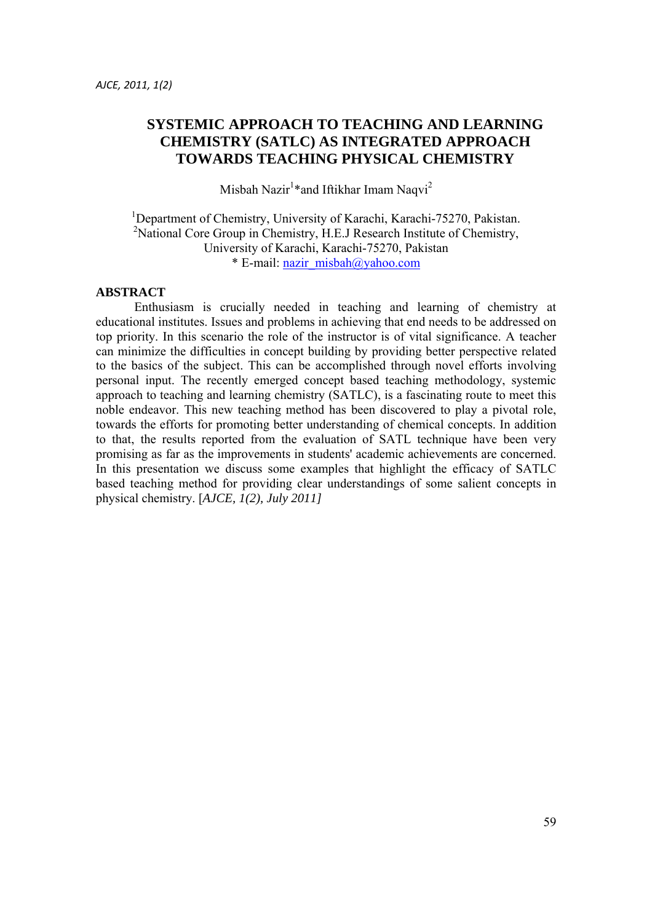# **SYSTEMIC APPROACH TO TEACHING AND LEARNING CHEMISTRY (SATLC) AS INTEGRATED APPROACH TOWARDS TEACHING PHYSICAL CHEMISTRY**

Misbah Nazir $1*$ and Iftikhar Imam Naqvi $^2$ 

<sup>1</sup>Department of Chemistry, University of Karachi, Karachi-75270, Pakistan. <sup>2</sup>National Core Group in Chemistry, H.E.J Research Institute of Chemistry, University of Karachi, Karachi-75270, Pakistan \* E-mail: nazir\_misbah@yahoo.com

#### **ABSTRACT**

 Enthusiasm is crucially needed in teaching and learning of chemistry at educational institutes. Issues and problems in achieving that end needs to be addressed on top priority. In this scenario the role of the instructor is of vital significance. A teacher can minimize the difficulties in concept building by providing better perspective related to the basics of the subject. This can be accomplished through novel efforts involving personal input. The recently emerged concept based teaching methodology, systemic approach to teaching and learning chemistry (SATLC), is a fascinating route to meet this noble endeavor. This new teaching method has been discovered to play a pivotal role, towards the efforts for promoting better understanding of chemical concepts. In addition to that, the results reported from the evaluation of SATL technique have been very promising as far as the improvements in students' academic achievements are concerned. In this presentation we discuss some examples that highlight the efficacy of SATLC based teaching method for providing clear understandings of some salient concepts in physical chemistry. [*AJCE, 1(2), July 2011]*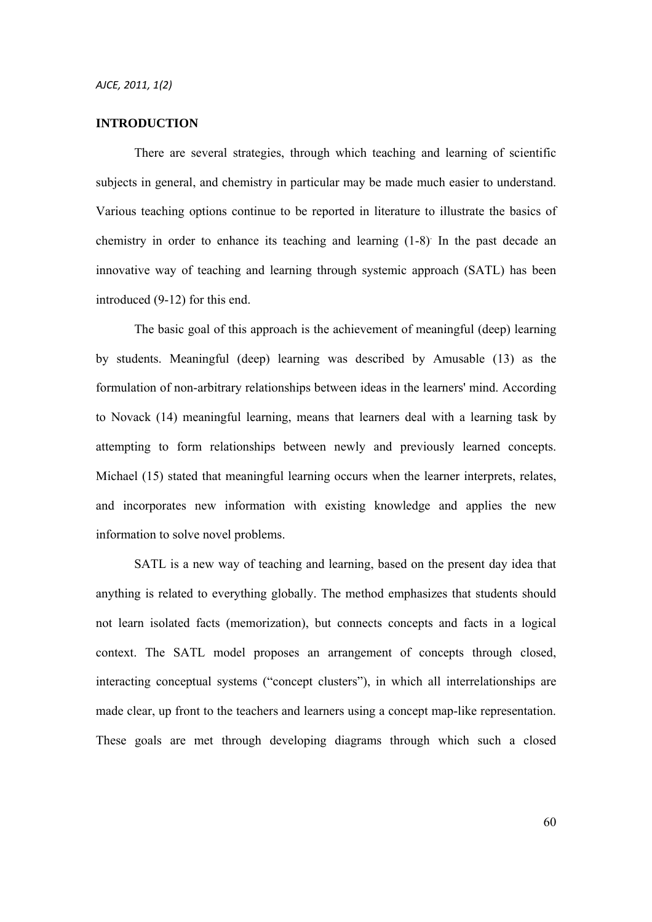#### **INTRODUCTION**

 There are several strategies, through which teaching and learning of scientific subjects in general, and chemistry in particular may be made much easier to understand. Various teaching options continue to be reported in literature to illustrate the basics of chemistry in order to enhance its teaching and learning (1-8) In the past decade an innovative way of teaching and learning through systemic approach (SATL) has been introduced (9-12) for this end.

 The basic goal of this approach is the achievement of meaningful (deep) learning by students. Meaningful (deep) learning was described by Amusable (13) as the formulation of non-arbitrary relationships between ideas in the learners' mind. According to Novack (14) meaningful learning, means that learners deal with a learning task by attempting to form relationships between newly and previously learned concepts. Michael (15) stated that meaningful learning occurs when the learner interprets, relates, and incorporates new information with existing knowledge and applies the new information to solve novel problems.

 SATL is a new way of teaching and learning, based on the present day idea that anything is related to everything globally. The method emphasizes that students should not learn isolated facts (memorization), but connects concepts and facts in a logical context. The SATL model proposes an arrangement of concepts through closed, interacting conceptual systems ("concept clusters"), in which all interrelationships are made clear, up front to the teachers and learners using a concept map-like representation. These goals are met through developing diagrams through which such a closed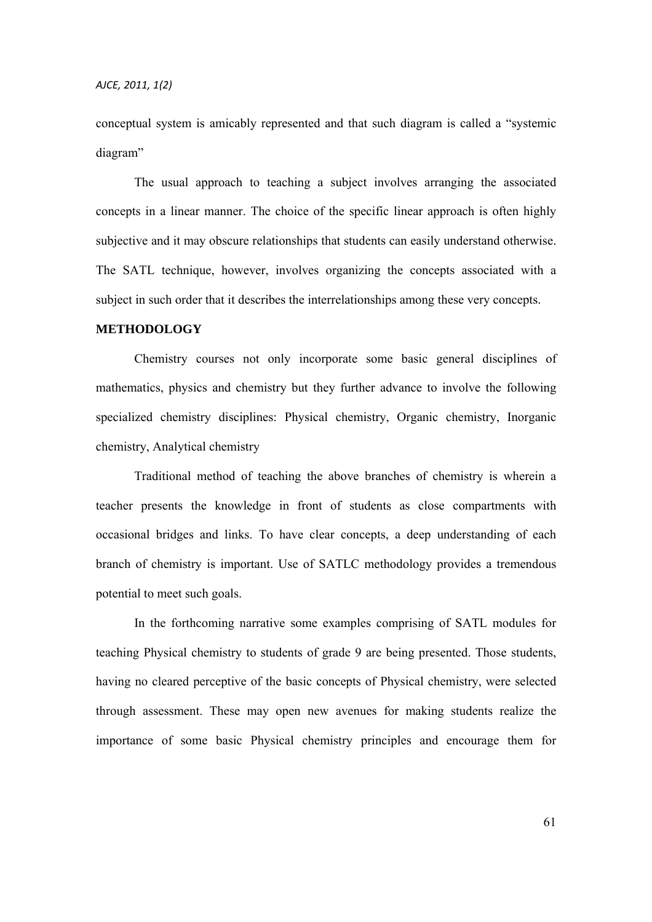conceptual system is amicably represented and that such diagram is called a "systemic diagram"

 The usual approach to teaching a subject involves arranging the associated concepts in a linear manner. The choice of the specific linear approach is often highly subjective and it may obscure relationships that students can easily understand otherwise. The SATL technique, however, involves organizing the concepts associated with a subject in such order that it describes the interrelationships among these very concepts.

## **METHODOLOGY**

 Chemistry courses not only incorporate some basic general disciplines of mathematics, physics and chemistry but they further advance to involve the following specialized chemistry disciplines: Physical chemistry, Organic chemistry, Inorganic chemistry, Analytical chemistry

 Traditional method of teaching the above branches of chemistry is wherein a teacher presents the knowledge in front of students as close compartments with occasional bridges and links. To have clear concepts, a deep understanding of each branch of chemistry is important. Use of SATLC methodology provides a tremendous potential to meet such goals.

 In the forthcoming narrative some examples comprising of SATL modules for teaching Physical chemistry to students of grade 9 are being presented. Those students, having no cleared perceptive of the basic concepts of Physical chemistry, were selected through assessment. These may open new avenues for making students realize the importance of some basic Physical chemistry principles and encourage them for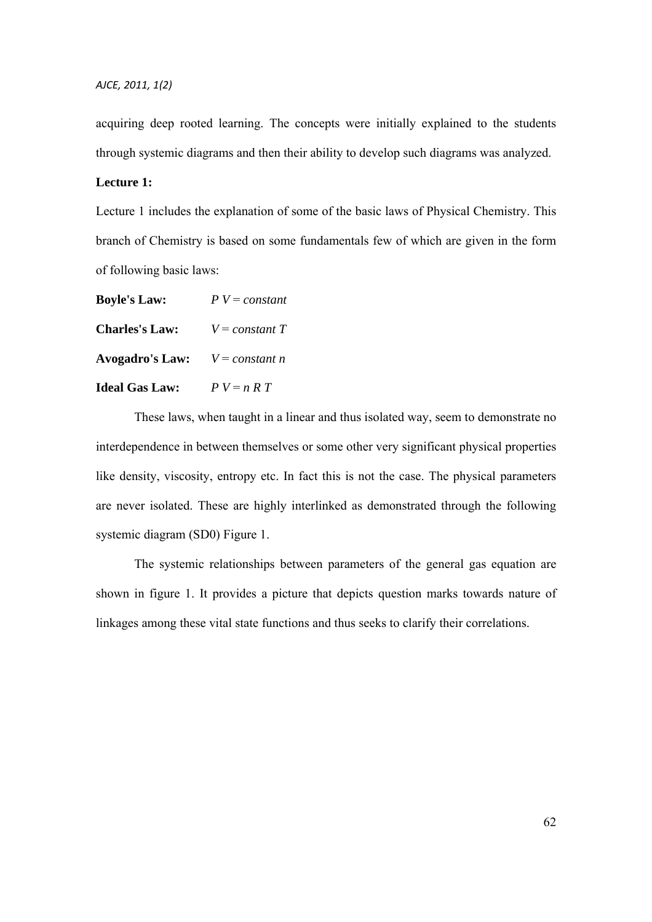acquiring deep rooted learning. The concepts were initially explained to the students through systemic diagrams and then their ability to develop such diagrams was analyzed.

#### **Lecture 1:**

Lecture 1 includes the explanation of some of the basic laws of Physical Chemistry. This branch of Chemistry is based on some fundamentals few of which are given in the form of following basic laws:

| <b>Boyle's Law:</b>    | $P V = constant$ |
|------------------------|------------------|
| <b>Charles's Law:</b>  | $V = constant T$ |
| <b>Avogadro's Law:</b> | $V = constant n$ |
| <b>Ideal Gas Law:</b>  | $P V = n R T$    |

 These laws, when taught in a linear and thus isolated way, seem to demonstrate no interdependence in between themselves or some other very significant physical properties like density, viscosity, entropy etc. In fact this is not the case. The physical parameters are never isolated. These are highly interlinked as demonstrated through the following systemic diagram (SD0) Figure 1.

 The systemic relationships between parameters of the general gas equation are shown in figure 1. It provides a picture that depicts question marks towards nature of linkages among these vital state functions and thus seeks to clarify their correlations.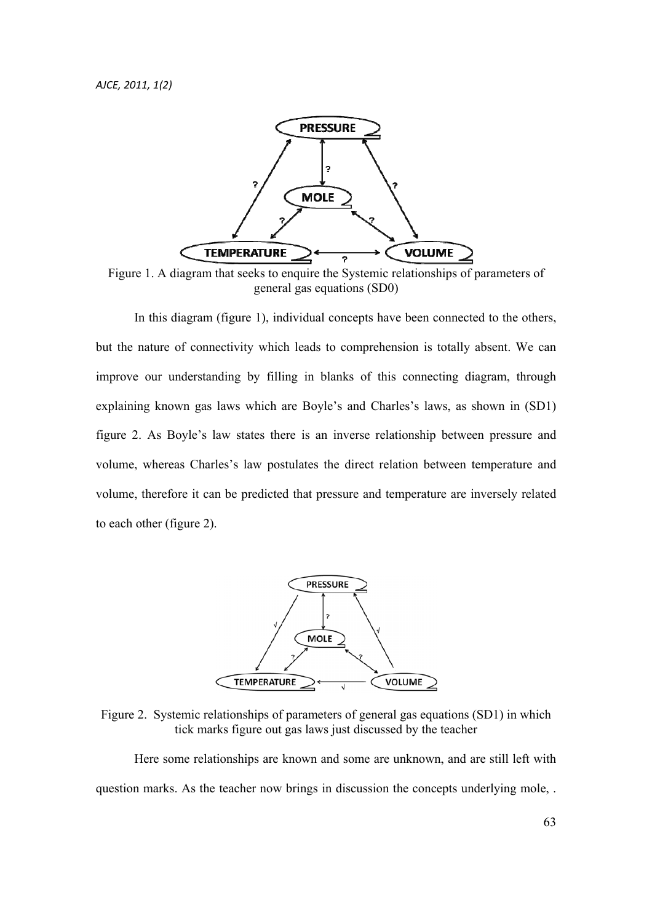

Figure 1. A diagram that seeks to enquire the Systemic relationships of parameters of general gas equations (SD0)

 In this diagram (figure 1), individual concepts have been connected to the others, but the nature of connectivity which leads to comprehension is totally absent. We can improve our understanding by filling in blanks of this connecting diagram, through explaining known gas laws which are Boyle's and Charles's laws, as shown in (SD1) figure 2. As Boyle's law states there is an inverse relationship between pressure and volume, whereas Charles's law postulates the direct relation between temperature and volume, therefore it can be predicted that pressure and temperature are inversely related to each other (figure 2).



Figure 2. Systemic relationships of parameters of general gas equations (SD1) in which tick marks figure out gas laws just discussed by the teacher

 Here some relationships are known and some are unknown, and are still left with question marks. As the teacher now brings in discussion the concepts underlying mole, .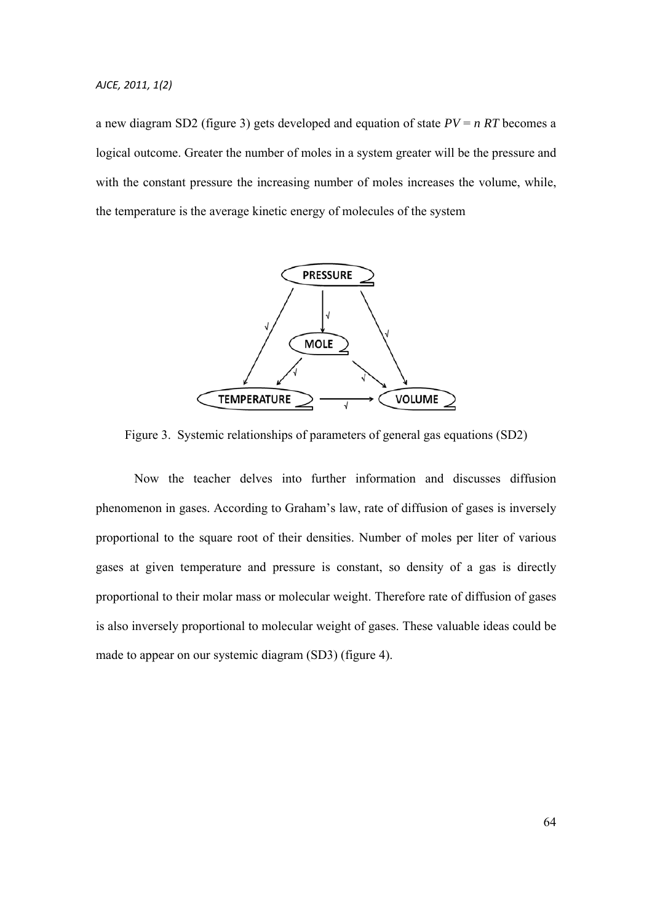a new diagram SD2 (figure 3) gets developed and equation of state *PV* = *n RT* becomes a logical outcome. Greater the number of moles in a system greater will be the pressure and with the constant pressure the increasing number of moles increases the volume, while, the temperature is the average kinetic energy of molecules of the system



Figure 3. Systemic relationships of parameters of general gas equations (SD2)

 Now the teacher delves into further information and discusses diffusion phenomenon in gases. According to Graham's law, rate of diffusion of gases is inversely proportional to the square root of their densities. Number of moles per liter of various gases at given temperature and pressure is constant, so density of a gas is directly proportional to their molar mass or molecular weight. Therefore rate of diffusion of gases is also inversely proportional to molecular weight of gases. These valuable ideas could be made to appear on our systemic diagram (SD3) (figure 4).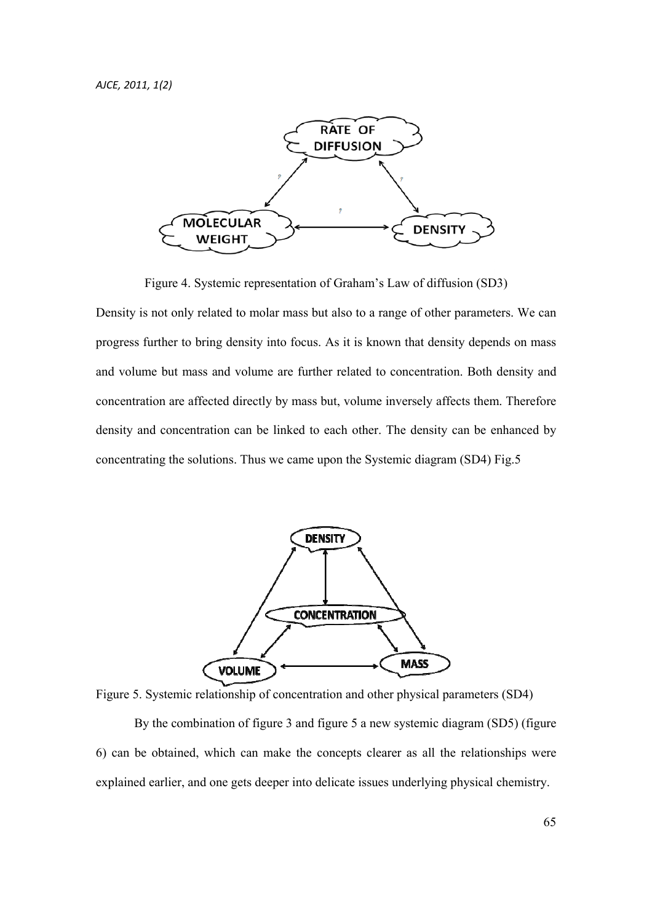

Figure 4. Systemic representation of Graham's Law of diffusion (SD3)

Density is not only related to molar mass but also to a range of other parameters. We can progress further to bring density into focus. As it is known that density depends on mass and volume but mass and volume are further related to concentration. Both density and concentration are affected directly by mass but, volume inversely affects them. Therefore density and concentration can be linked to each other. The density can be enhanced by concentrating the solutions. Thus we came upon the Systemic diagram (SD4) Fig.5



Figure 5. Systemic relationship of concentration and other physical parameters (SD4)

 By the combination of figure 3 and figure 5 a new systemic diagram (SD5) (figure 6) can be obtained, which can make the concepts clearer as all the relationships were explained earlier, and one gets deeper into delicate issues underlying physical chemistry.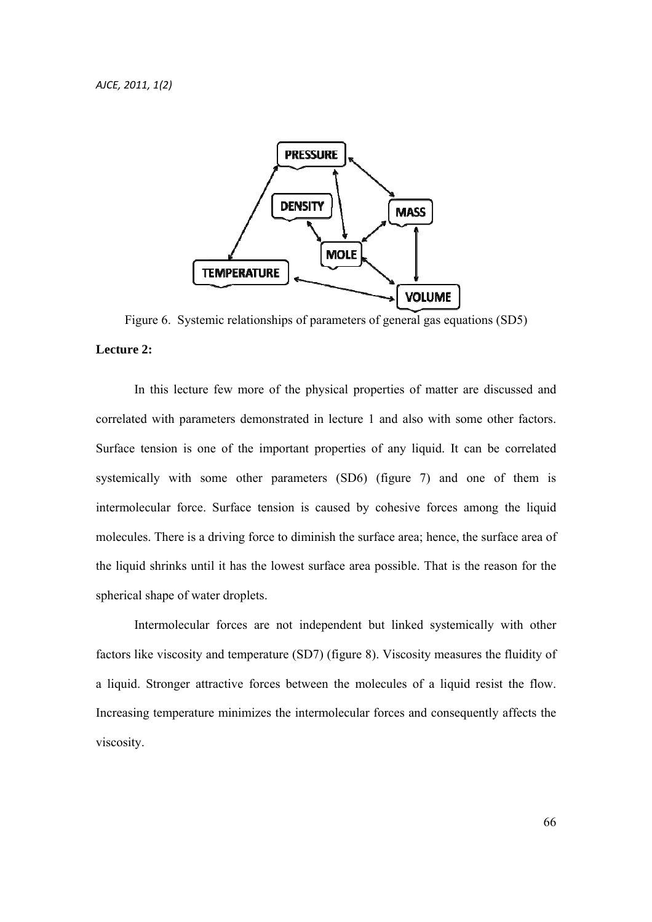

Figure 6. Systemic relationships of parameters of general gas equations (SD5) **Lecture 2:** 

 In this lecture few more of the physical properties of matter are discussed and correlated with parameters demonstrated in lecture 1 and also with some other factors. Surface tension is one of the important properties of any liquid. It can be correlated systemically with some other parameters (SD6) (figure 7) and one of them is intermolecular force. Surface tension is caused by cohesive forces among the liquid molecules. There is a driving force to diminish the surface area; hence, the surface area of the liquid shrinks until it has the lowest surface area possible. That is the reason for the spherical shape of water droplets.

 Intermolecular forces are not independent but linked systemically with other factors like viscosity and temperature (SD7) (figure 8). Viscosity measures the fluidity of a liquid. Stronger attractive forces between the molecules of a liquid resist the flow. Increasing temperature minimizes the intermolecular forces and consequently affects the viscosity.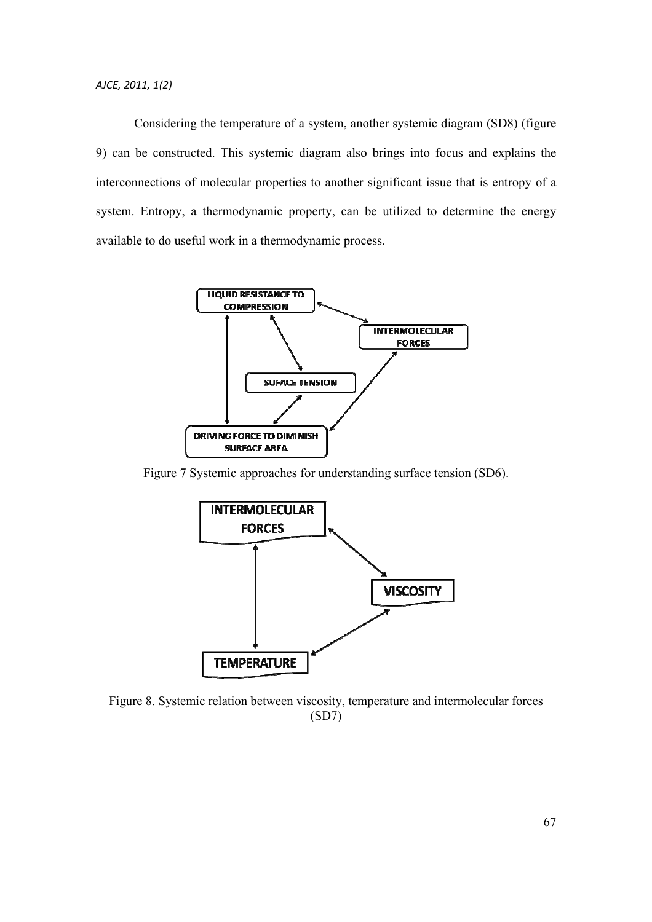Considering the temperature of a system, another systemic diagram (SD8) (figure 9) can be constructed. This systemic diagram also brings into focus and explains the interconnections of molecular properties to another significant issue that is entropy of a system. Entropy, a thermodynamic property, can be utilized to determine the energy available to do useful work in a thermodynamic process.



Figure 7 Systemic approaches for understanding surface tension (SD6).



Figure 8. Systemic relation between viscosity, temperature and intermolecular forces (SD7)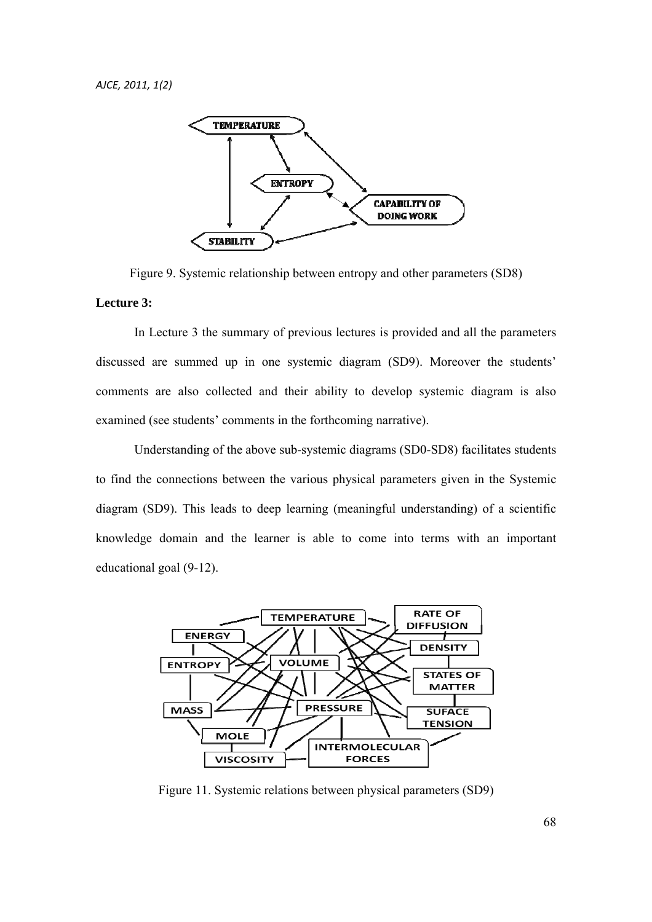

Figure 9. Systemic relationship between entropy and other parameters (SD8)

### **Lecture 3:**

 In Lecture 3 the summary of previous lectures is provided and all the parameters discussed are summed up in one systemic diagram (SD9). Moreover the students' comments are also collected and their ability to develop systemic diagram is also examined (see students' comments in the forthcoming narrative).

 Understanding of the above sub-systemic diagrams (SD0-SD8) facilitates students to find the connections between the various physical parameters given in the Systemic diagram (SD9). This leads to deep learning (meaningful understanding) of a scientific knowledge domain and the learner is able to come into terms with an important educational goal (9-12).



Figure 11. Systemic relations between physical parameters (SD9)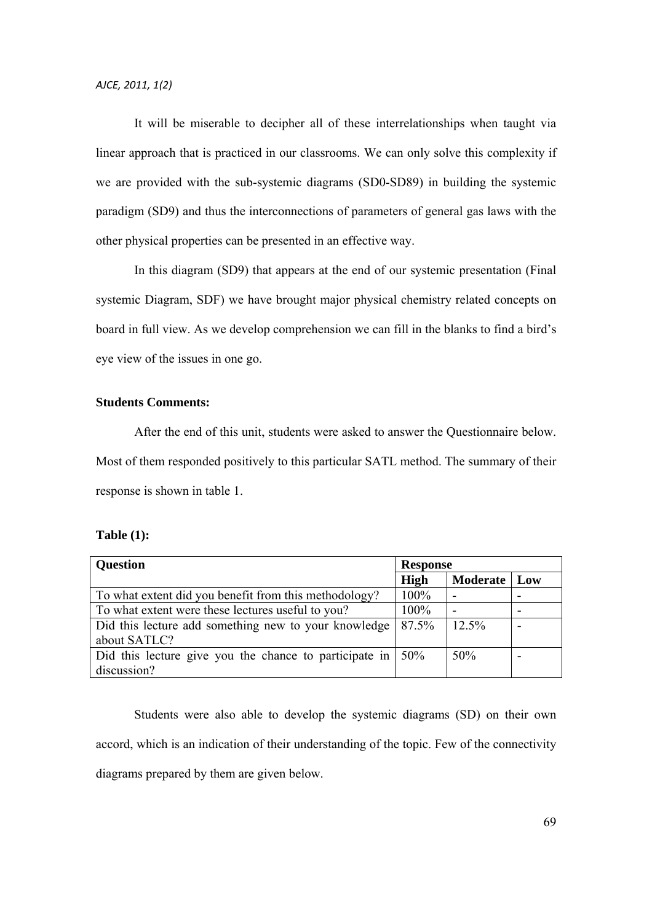It will be miserable to decipher all of these interrelationships when taught via linear approach that is practiced in our classrooms. We can only solve this complexity if we are provided with the sub-systemic diagrams (SD0-SD89) in building the systemic paradigm (SD9) and thus the interconnections of parameters of general gas laws with the other physical properties can be presented in an effective way.

 In this diagram (SD9) that appears at the end of our systemic presentation (Final systemic Diagram, SDF) we have brought major physical chemistry related concepts on board in full view. As we develop comprehension we can fill in the blanks to find a bird's eye view of the issues in one go.

### **Students Comments:**

 After the end of this unit, students were asked to answer the Questionnaire below. Most of them responded positively to this particular SATL method. The summary of their response is shown in table 1.

#### **Table (1):**

| <b>Question</b>                                        | <b>Response</b> |                 |     |
|--------------------------------------------------------|-----------------|-----------------|-----|
|                                                        | High            | <b>Moderate</b> | Low |
| To what extent did you benefit from this methodology?  | 100%            |                 |     |
| To what extent were these lectures useful to you?      |                 |                 |     |
| Did this lecture add something new to your knowledge   | 87.5%           | 12.5%           |     |
| about SATLC?                                           |                 |                 |     |
| Did this lecture give you the chance to participate in | 50%             | 50%             |     |
| discussion?                                            |                 |                 |     |

 Students were also able to develop the systemic diagrams (SD) on their own accord, which is an indication of their understanding of the topic. Few of the connectivity diagrams prepared by them are given below.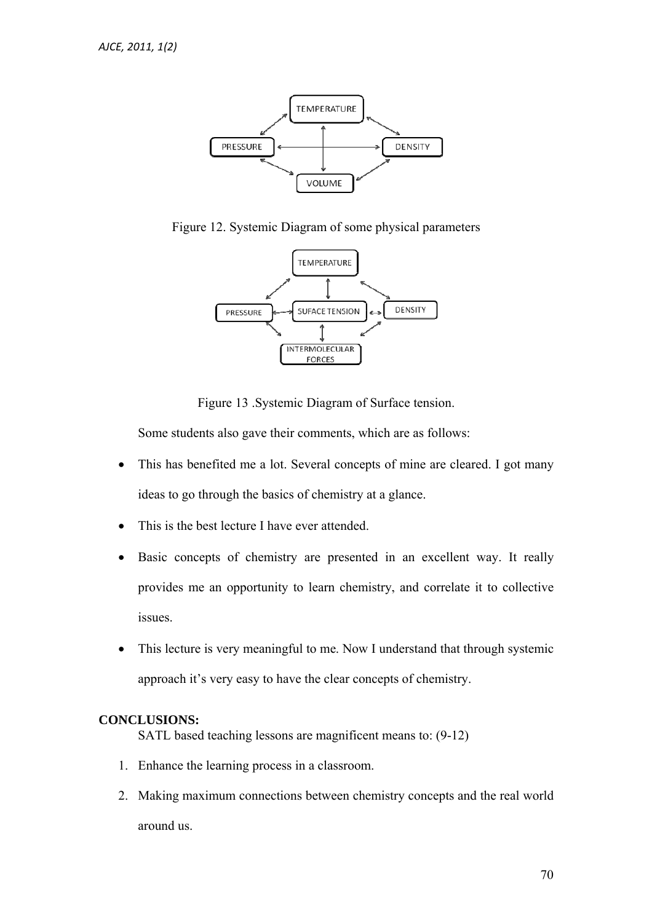

Figure 12. Systemic Diagram of some physical parameters



Figure 13 .Systemic Diagram of Surface tension.

Some students also gave their comments, which are as follows:

- This has benefited me a lot. Several concepts of mine are cleared. I got many ideas to go through the basics of chemistry at a glance.
- This is the best lecture I have ever attended.
- Basic concepts of chemistry are presented in an excellent way. It really provides me an opportunity to learn chemistry, and correlate it to collective issues.
- This lecture is very meaningful to me. Now I understand that through systemic approach it's very easy to have the clear concepts of chemistry.

### **CONCLUSIONS:**

SATL based teaching lessons are magnificent means to: (9-12)

- 1. Enhance the learning process in a classroom.
- 2. Making maximum connections between chemistry concepts and the real world around us.